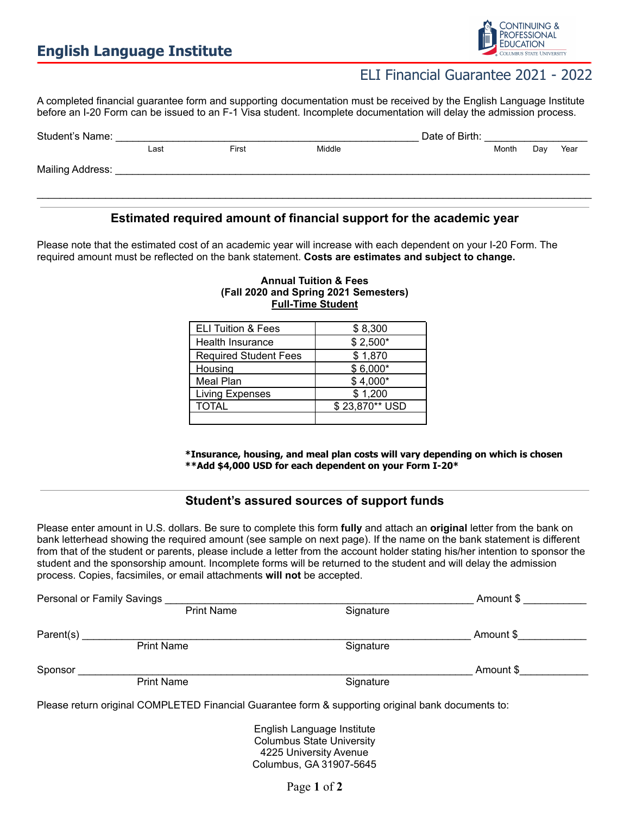

## ELI Financial Guarantee 2021 - 2022

A completed financial guarantee form and supporting documentation must be received by the English Language Institute before an I-20 Form can be issued to an F-1 Visa student. Incomplete documentation will delay the admission process.

| Student's Name:  |      |       |        | Date of Birth: |       |     |      |
|------------------|------|-------|--------|----------------|-------|-----|------|
|                  | Last | First | Middle |                | Month | Day | Year |
| Mailing Address: |      |       |        |                |       |     |      |
|                  |      |       |        |                |       |     |      |

### **Estimated required amount of financial support for the academic year**

Please note that the estimated cost of an academic year will increase with each dependent on your I-20 Form. The required amount must be reflected on the bank statement. **Costs are estimates and subject to change.**

| <b>ELI Tuition &amp; Fees</b> | \$8,300        |  |
|-------------------------------|----------------|--|
| <b>Health Insurance</b>       | $$2,500*$      |  |
| <b>Required Student Fees</b>  | \$1,870        |  |
| Housing                       | $$6,000*$      |  |
| Meal Plan                     | $$4,000*$      |  |
| Living Expenses               | \$1,200        |  |
| <b>TOTAL</b>                  | \$23,870** USD |  |
|                               |                |  |

#### **Annual Tuition & Fees (Fall 2020 and Spring 2021 Semesters) Full-Time Student**

**\*Insurance, housing, and meal plan costs will vary depending on which is chosen \*\*Add \$4,000 USD for each dependent on your Form I-20\***

### **Student's assured sources of support funds**

Please enter amount in U.S. dollars. Be sure to complete this form **fully** and attach an **original** letter from the bank on bank letterhead showing the required amount (see sample on next page). If the name on the bank statement is different from that of the student or parents, please include a letter from the account holder stating his/her intention to sponsor the student and the sponsorship amount. Incomplete forms will be returned to the student and will delay the admission process. Copies, facsimiles, or email attachments **will not** be accepted.

| Personal or Family Savings |                   |           | Amount \$ |  |  |
|----------------------------|-------------------|-----------|-----------|--|--|
|                            | <b>Print Name</b> | Signature |           |  |  |
| Parent(s)                  |                   |           | Amount \$ |  |  |
|                            | <b>Print Name</b> | Signature |           |  |  |
| Sponsor                    |                   |           | Amount \$ |  |  |
|                            | <b>Print Name</b> | Signature |           |  |  |

Please return original COMPLETED Financial Guarantee form & supporting original bank documents to:

English Language Institute Columbus State University 4225 University Avenue Columbus, GA 31907-5645

Page **1** of **2**